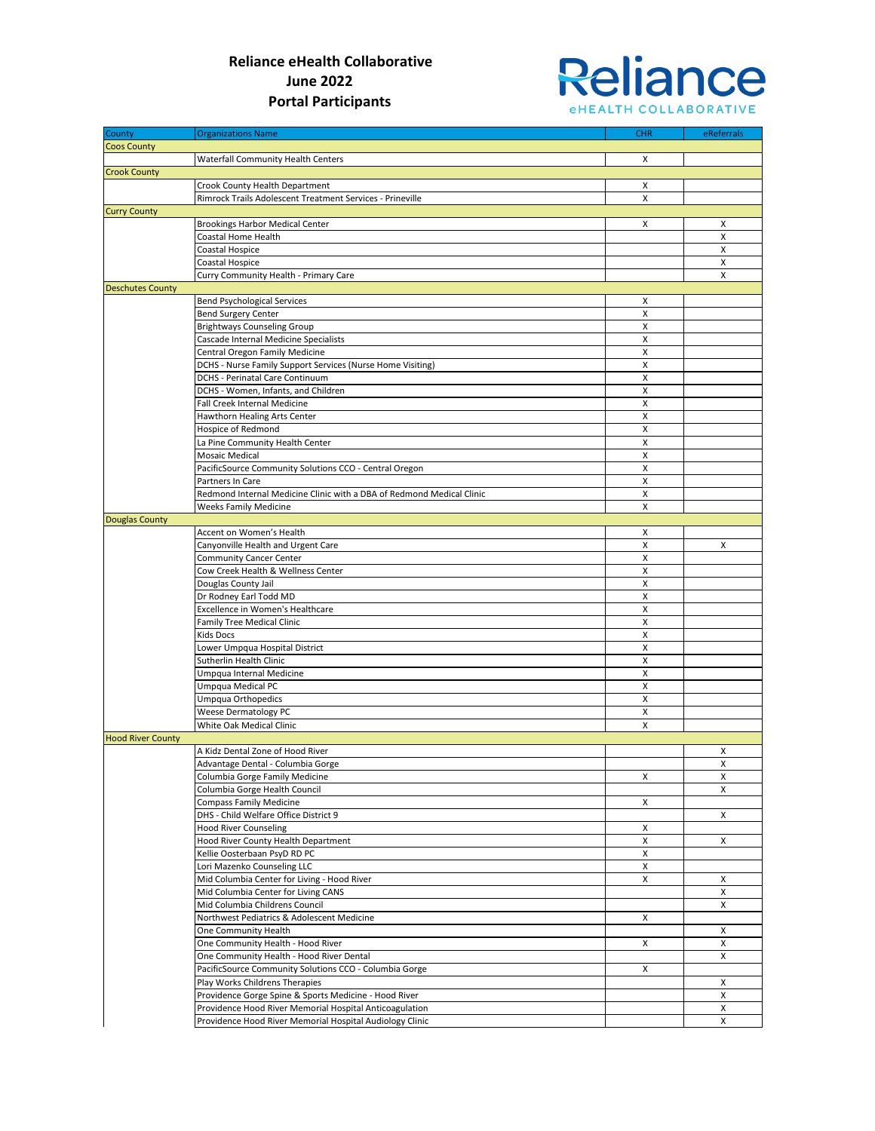

| County                   | <b>Organizations Name</b>                                             | <b>CHR</b> | eReferrals         |
|--------------------------|-----------------------------------------------------------------------|------------|--------------------|
|                          |                                                                       |            |                    |
| <b>Coos County</b>       |                                                                       |            |                    |
|                          | Waterfall Community Health Centers                                    | X          |                    |
| <b>Crook County</b>      |                                                                       |            |                    |
|                          | Crook County Health Department                                        | X          |                    |
|                          | Rimrock Trails Adolescent Treatment Services - Prineville             | X          |                    |
| <b>Curry County</b>      |                                                                       |            |                    |
|                          | <b>Brookings Harbor Medical Center</b>                                | X          | Χ                  |
|                          | Coastal Home Health                                                   |            | X                  |
|                          | Coastal Hospice                                                       |            | X                  |
|                          | Coastal Hospice                                                       |            | X                  |
|                          | Curry Community Health - Primary Care                                 |            | X                  |
| <b>Deschutes County</b>  |                                                                       |            |                    |
|                          | <b>Bend Psychological Services</b>                                    | X          |                    |
|                          | <b>Bend Surgery Center</b>                                            | X          |                    |
|                          | <b>Brightways Counseling Group</b>                                    | X          |                    |
|                          | Cascade Internal Medicine Specialists                                 | X          |                    |
|                          | Central Oregon Family Medicine                                        | X          |                    |
|                          | DCHS - Nurse Family Support Services (Nurse Home Visiting)            | X          |                    |
|                          | DCHS - Perinatal Care Continuum                                       | X          |                    |
|                          | DCHS - Women, Infants, and Children                                   | X          |                    |
|                          | Fall Creek Internal Medicine                                          | X          |                    |
|                          | Hawthorn Healing Arts Center                                          | X          |                    |
|                          |                                                                       |            |                    |
|                          | Hospice of Redmond                                                    | X          |                    |
|                          | La Pine Community Health Center                                       | X          |                    |
|                          | <b>Mosaic Medical</b>                                                 | X          |                    |
|                          | PacificSource Community Solutions CCO - Central Oregon                | X          |                    |
|                          | Partners In Care                                                      | X          |                    |
|                          | Redmond Internal Medicine Clinic with a DBA of Redmond Medical Clinic | X          |                    |
|                          | <b>Weeks Family Medicine</b>                                          | X          |                    |
| <b>Douglas County</b>    |                                                                       |            |                    |
|                          | Accent on Women's Health                                              | Χ          |                    |
|                          | Canyonville Health and Urgent Care                                    | X          | X                  |
|                          | Community Cancer Center                                               | X          |                    |
|                          | Cow Creek Health & Wellness Center                                    | X          |                    |
|                          | Douglas County Jail                                                   | X          |                    |
|                          | Dr Rodney Earl Todd MD                                                | X          |                    |
|                          | Excellence in Women's Healthcare                                      | X          |                    |
|                          | Family Tree Medical Clinic                                            | X          |                    |
|                          | Kids Docs                                                             | X          |                    |
|                          | Lower Umpqua Hospital District                                        | X          |                    |
|                          | Sutherlin Health Clinic                                               | X          |                    |
|                          | Umpqua Internal Medicine                                              | X          |                    |
|                          |                                                                       | X          |                    |
|                          | Umpqua Medical PC                                                     |            |                    |
|                          | Umpqua Orthopedics                                                    | X          |                    |
|                          | Weese Dermatology PC                                                  | X          |                    |
|                          | White Oak Medical Clinic                                              | X          |                    |
| <b>Hood River County</b> |                                                                       |            |                    |
|                          | A Kidz Dental Zone of Hood River                                      |            | х                  |
|                          | Advantage Dental - Columbia Gorge                                     |            | $\pmb{\mathsf{X}}$ |
|                          | Columbia Gorge Family Medicine                                        | X          | X                  |
|                          | Columbia Gorge Health Council                                         |            | X                  |
|                          | Compass Family Medicine                                               | X          |                    |
|                          | DHS - Child Welfare Office District 9                                 |            | X                  |
|                          | <b>Hood River Counseling</b>                                          | x          |                    |
|                          | Hood River County Health Department                                   | X          | X                  |
|                          | Kellie Oosterbaan PsyD RD PC                                          | X          |                    |
|                          | Lori Mazenko Counseling LLC                                           | X          |                    |
|                          | Mid Columbia Center for Living - Hood River                           | X          | Х                  |
|                          | Mid Columbia Center for Living CANS                                   |            | X                  |
|                          | Mid Columbia Childrens Council                                        |            | X                  |
|                          | Northwest Pediatrics & Adolescent Medicine                            | X          |                    |
|                          | One Community Health                                                  |            | X                  |
|                          | One Community Health - Hood River                                     | X          | X                  |
|                          | One Community Health - Hood River Dental                              |            | X                  |
|                          | PacificSource Community Solutions CCO - Columbia Gorge                | X          |                    |
|                          | Play Works Childrens Therapies                                        |            | X                  |
|                          | Providence Gorge Spine & Sports Medicine - Hood River                 |            | X                  |
|                          |                                                                       |            |                    |
|                          | Providence Hood River Memorial Hospital Anticoagulation               |            | X                  |
|                          | Providence Hood River Memorial Hospital Audiology Clinic              |            | X                  |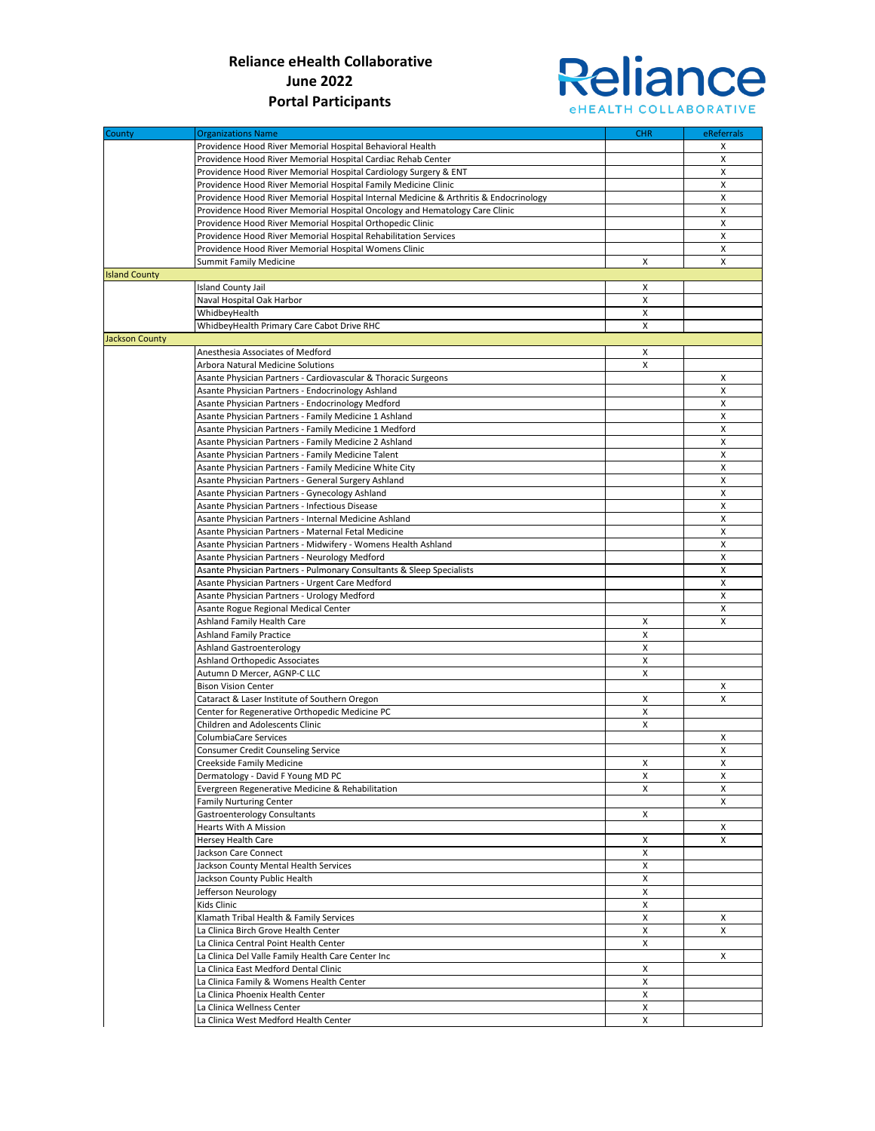

| County                | <b>Organizations Name</b>                                                                                    | <b>CHR</b> | eReferrals |
|-----------------------|--------------------------------------------------------------------------------------------------------------|------------|------------|
|                       | Providence Hood River Memorial Hospital Behavioral Health                                                    |            | х          |
|                       | Providence Hood River Memorial Hospital Cardiac Rehab Center                                                 |            | x          |
|                       | Providence Hood River Memorial Hospital Cardiology Surgery & ENT                                             |            | x          |
|                       | Providence Hood River Memorial Hospital Family Medicine Clinic                                               |            | X          |
|                       | Providence Hood River Memorial Hospital Internal Medicine & Arthritis & Endocrinology                        |            | x          |
|                       | Providence Hood River Memorial Hospital Oncology and Hematology Care Clinic                                  |            | X          |
|                       | Providence Hood River Memorial Hospital Orthopedic Clinic                                                    |            | x          |
|                       | Providence Hood River Memorial Hospital Rehabilitation Services                                              |            | x          |
|                       | Providence Hood River Memorial Hospital Womens Clinic                                                        |            | x          |
|                       | <b>Summit Family Medicine</b>                                                                                | X          | X          |
| <b>Island County</b>  |                                                                                                              |            |            |
|                       | <b>Island County Jail</b>                                                                                    | X          |            |
|                       | Naval Hospital Oak Harbor                                                                                    | X          |            |
|                       | WhidbeyHealth                                                                                                | X          |            |
|                       | WhidbeyHealth Primary Care Cabot Drive RHC                                                                   | X          |            |
| <b>Jackson County</b> |                                                                                                              |            |            |
|                       | Anesthesia Associates of Medford                                                                             | Χ          |            |
|                       | Arbora Natural Medicine Solutions                                                                            | X          |            |
|                       | Asante Physician Partners - Cardiovascular & Thoracic Surgeons                                               |            | x          |
|                       | Asante Physician Partners - Endocrinology Ashland                                                            |            | x          |
|                       | Asante Physician Partners - Endocrinology Medford                                                            |            | x          |
|                       | Asante Physician Partners - Family Medicine 1 Ashland                                                        |            | X          |
|                       | Asante Physician Partners - Family Medicine 1 Medford                                                        |            | x          |
|                       | Asante Physician Partners - Family Medicine 2 Ashland                                                        |            | X          |
|                       | Asante Physician Partners - Family Medicine Talent                                                           |            | x          |
|                       | Asante Physician Partners - Family Medicine White City                                                       |            | X          |
|                       | Asante Physician Partners - General Surgery Ashland                                                          |            | x          |
|                       | Asante Physician Partners - Gynecology Ashland                                                               |            | X          |
|                       | Asante Physician Partners - Infectious Disease                                                               |            | x          |
|                       |                                                                                                              |            | X          |
|                       | Asante Physician Partners - Internal Medicine Ashland<br>Asante Physician Partners - Maternal Fetal Medicine |            |            |
|                       |                                                                                                              |            | x          |
|                       | Asante Physician Partners - Midwifery - Womens Health Ashland                                                |            | x          |
|                       | Asante Physician Partners - Neurology Medford                                                                |            | x          |
|                       | Asante Physician Partners - Pulmonary Consultants & Sleep Specialists                                        |            | X          |
|                       | Asante Physician Partners - Urgent Care Medford                                                              |            | x          |
|                       | Asante Physician Partners - Urology Medford                                                                  |            | X          |
|                       | Asante Rogue Regional Medical Center                                                                         |            | x          |
|                       | Ashland Family Health Care                                                                                   | X          | x          |
|                       | <b>Ashland Family Practice</b>                                                                               | X          |            |
|                       | <b>Ashland Gastroenterology</b>                                                                              | X          |            |
|                       | Ashland Orthopedic Associates                                                                                | X          |            |
|                       | Autumn D Mercer, AGNP-C LLC                                                                                  | X          |            |
|                       | <b>Bison Vision Center</b>                                                                                   |            | X          |
|                       | Cataract & Laser Institute of Southern Oregon                                                                | X          | x          |
|                       | Center for Regenerative Orthopedic Medicine PC                                                               | X          |            |
|                       | Children and Adolescents Clinic                                                                              | X          |            |
|                       | ColumbiaCare Services                                                                                        |            | x          |
|                       | Consumer Credit Counseling Service                                                                           |            | x          |
|                       | Creekside Family Medicine                                                                                    | X          | X          |
|                       | Dermatology - David F Young MD PC                                                                            | X          | X          |
|                       | Evergreen Regenerative Medicine & Rehabilitation                                                             | X          | X          |
|                       | Family Nurturing Center                                                                                      |            | X          |
|                       | Gastroenterology Consultants                                                                                 | X          |            |
|                       | Hearts With A Mission                                                                                        |            | X          |
|                       | Hersey Health Care                                                                                           | X          | X          |
|                       | Jackson Care Connect                                                                                         | X          |            |
|                       | Jackson County Mental Health Services                                                                        | X          |            |
|                       | Jackson County Public Health                                                                                 | X          |            |
|                       | Jefferson Neurology                                                                                          | X          |            |
|                       | Kids Clinic                                                                                                  | X          |            |
|                       | Klamath Tribal Health & Family Services                                                                      | X          | X          |
|                       | La Clinica Birch Grove Health Center                                                                         | X          | X          |
|                       | La Clinica Central Point Health Center                                                                       | X          |            |
|                       | La Clinica Del Valle Family Health Care Center Inc                                                           |            | X          |
|                       | La Clinica East Medford Dental Clinic                                                                        | X          |            |
|                       | La Clinica Family & Womens Health Center                                                                     | X          |            |
|                       | La Clinica Phoenix Health Center                                                                             | X          |            |
|                       | La Clinica Wellness Center                                                                                   | X          |            |
|                       | La Clinica West Medford Health Center                                                                        | X          |            |
|                       |                                                                                                              |            |            |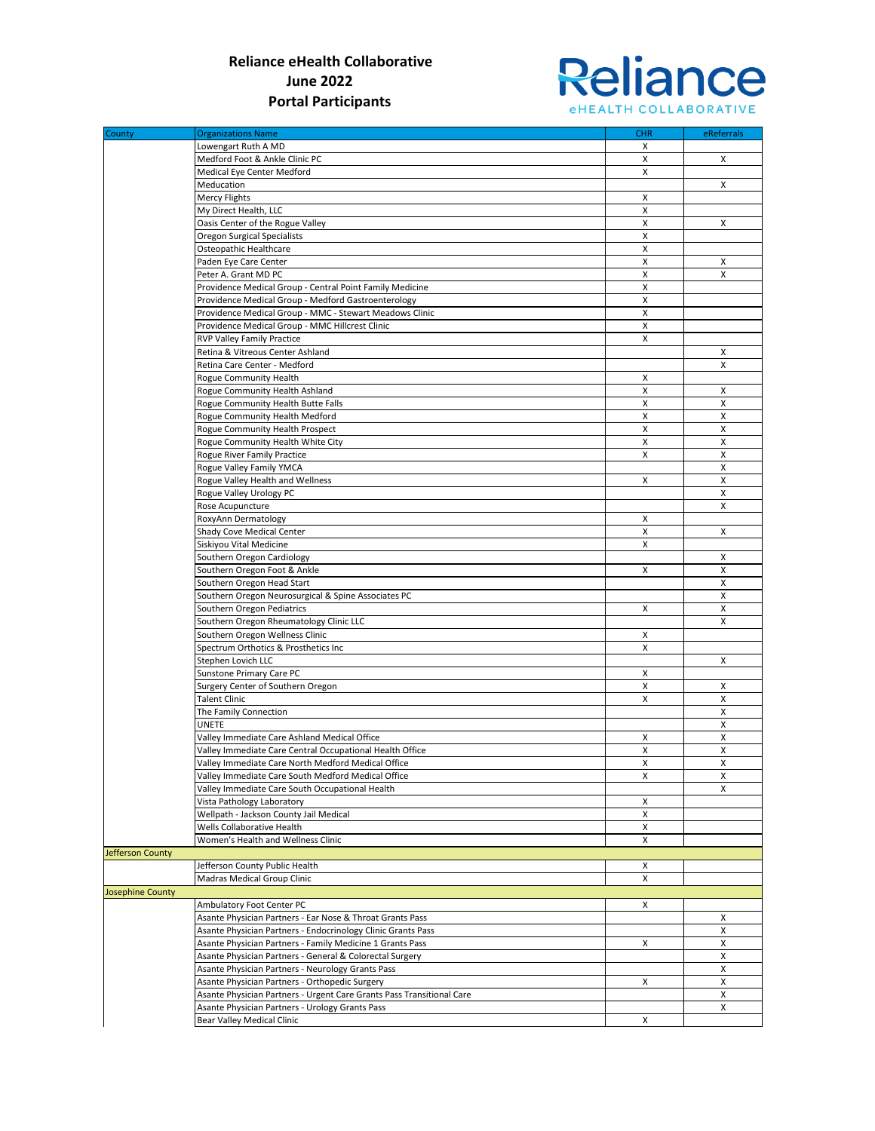

| County                  | <b>Organizations Name</b>                                             | <b>CHR</b> | eReferrals |
|-------------------------|-----------------------------------------------------------------------|------------|------------|
|                         | Lowengart Ruth A MD                                                   | х          |            |
|                         | Medford Foot & Ankle Clinic PC                                        | X          | X          |
|                         | Medical Eye Center Medford                                            | X          |            |
|                         | Meducation                                                            |            | X          |
|                         | Mercy Flights                                                         | х          |            |
|                         | My Direct Health, LLC                                                 | X          |            |
|                         | Oasis Center of the Rogue Valley                                      | X          | X          |
|                         | Oregon Surgical Specialists<br>Osteopathic Healthcare                 | X<br>X     |            |
|                         | Paden Eye Care Center                                                 | X          | X          |
|                         | Peter A. Grant MD PC                                                  | X          | X          |
|                         | Providence Medical Group - Central Point Family Medicine              | X          |            |
|                         | Providence Medical Group - Medford Gastroenterology                   | X          |            |
|                         | Providence Medical Group - MMC - Stewart Meadows Clinic               | X          |            |
|                         | Providence Medical Group - MMC Hillcrest Clinic                       | X          |            |
|                         | RVP Valley Family Practice                                            | X          |            |
|                         | Retina & Vitreous Center Ashland                                      |            | X          |
|                         | Retina Care Center - Medford                                          |            | x          |
|                         | Rogue Community Health                                                | х          |            |
|                         | Rogue Community Health Ashland                                        | X          | X          |
|                         | Rogue Community Health Butte Falls                                    | X          | X          |
|                         | Rogue Community Health Medford                                        | X          | X          |
|                         | Rogue Community Health Prospect                                       | X          | X          |
|                         | Rogue Community Health White City                                     | X          | X          |
|                         | Rogue River Family Practice                                           | X          | X          |
|                         | Rogue Valley Family YMCA                                              |            | x          |
|                         | Rogue Valley Health and Wellness                                      | X          | X          |
|                         | Rogue Valley Urology PC                                               |            | X          |
|                         | Rose Acupuncture                                                      |            | X          |
|                         | RoxyAnn Dermatology                                                   | Χ          |            |
|                         | Shady Cove Medical Center                                             | X          | X          |
|                         | Siskiyou Vital Medicine                                               | X          |            |
|                         | Southern Oregon Cardiology                                            |            | X          |
|                         | Southern Oregon Foot & Ankle                                          | X          | X          |
|                         | Southern Oregon Head Start                                            |            | X          |
|                         | Southern Oregon Neurosurgical & Spine Associates PC                   |            | X          |
|                         | Southern Oregon Pediatrics                                            | X          | X          |
|                         | Southern Oregon Rheumatology Clinic LLC                               |            | X          |
|                         | Southern Oregon Wellness Clinic                                       | х          |            |
|                         | Spectrum Orthotics & Prosthetics Inc                                  | X          |            |
|                         | Stephen Lovich LLC                                                    |            | X          |
|                         | Sunstone Primary Care PC                                              | Χ          |            |
|                         | Surgery Center of Southern Oregon                                     | X          | X          |
|                         | <b>Talent Clinic</b>                                                  | X          | X<br>X     |
|                         | The Family Connection                                                 |            | X          |
|                         | UNETE<br>Valley Immediate Care Ashland Medical Office                 | х          | X          |
|                         | Valley Immediate Care Central Occupational Health Office              | X          | x          |
|                         | Valley Immediate Care North Medford Medical Office                    | Χ          | X          |
|                         | Valley Immediate Care South Medford Medical Office                    | x          | x          |
|                         | Valley Immediate Care South Occupational Health                       |            | X          |
|                         | Vista Pathology Laboratory                                            | х          |            |
|                         | Wellpath - Jackson County Jail Medical                                | X          |            |
|                         | Wells Collaborative Health                                            | X          |            |
|                         | Women's Health and Wellness Clinic                                    | X          |            |
| Jefferson County        |                                                                       |            |            |
|                         | Jefferson County Public Health                                        | х          |            |
|                         | Madras Medical Group Clinic                                           | х          |            |
| <b>Josephine County</b> |                                                                       |            |            |
|                         | Ambulatory Foot Center PC                                             | X          |            |
|                         | Asante Physician Partners - Ear Nose & Throat Grants Pass             |            | x          |
|                         | Asante Physician Partners - Endocrinology Clinic Grants Pass          |            | x          |
|                         | Asante Physician Partners - Family Medicine 1 Grants Pass             | X          | X          |
|                         | Asante Physician Partners - General & Colorectal Surgery              |            | x          |
|                         | Asante Physician Partners - Neurology Grants Pass                     |            | x          |
|                         | Asante Physician Partners - Orthopedic Surgery                        | X          | x          |
|                         | Asante Physician Partners - Urgent Care Grants Pass Transitional Care |            | X          |
|                         | Asante Physician Partners - Urology Grants Pass                       |            | x          |
|                         | Bear Valley Medical Clinic                                            | X          |            |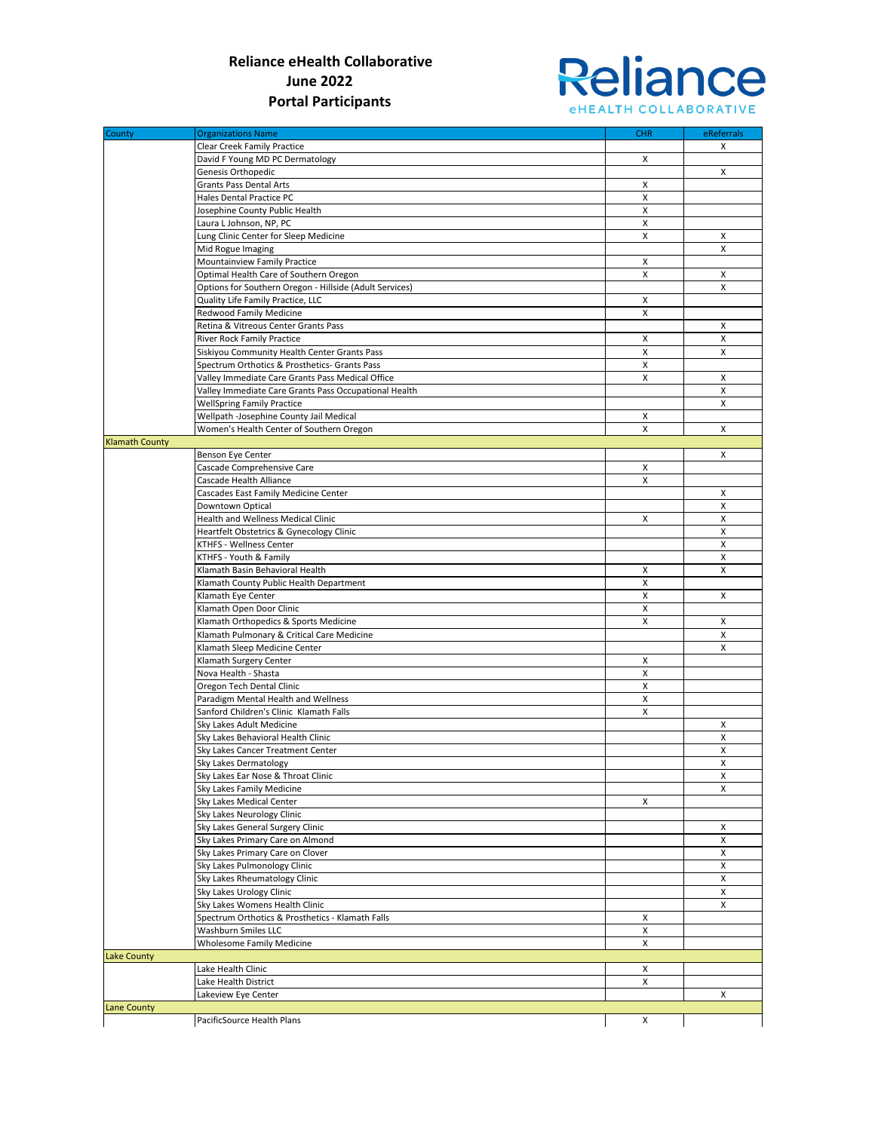

| County                | <b>Organizations Name</b>                               | <b>CHR</b> | eReferrals |
|-----------------------|---------------------------------------------------------|------------|------------|
|                       | Clear Creek Family Practice                             |            | X          |
|                       | David F Young MD PC Dermatology                         | X          |            |
|                       | Genesis Orthopedic                                      |            | X          |
|                       | <b>Grants Pass Dental Arts</b>                          | X          |            |
|                       | Hales Dental Practice PC                                | X          |            |
|                       | Josephine County Public Health                          | X          |            |
|                       | Laura L Johnson, NP, PC                                 | X          |            |
|                       | Lung Clinic Center for Sleep Medicine                   | X          | X          |
|                       | Mid Rogue Imaging                                       |            | X          |
|                       | Mountainview Family Practice                            | X          |            |
|                       | Optimal Health Care of Southern Oregon                  | X          | X          |
|                       | Options for Southern Oregon - Hillside (Adult Services) |            | X          |
|                       | Quality Life Family Practice, LLC                       | X          |            |
|                       | Redwood Family Medicine                                 | X          |            |
|                       |                                                         |            |            |
|                       | Retina & Vitreous Center Grants Pass                    |            | x          |
|                       | River Rock Family Practice                              | X          | X          |
|                       | Siskiyou Community Health Center Grants Pass            | X          | X          |
|                       | Spectrum Orthotics & Prosthetics- Grants Pass           | X          |            |
|                       | Valley Immediate Care Grants Pass Medical Office        | X          | x          |
|                       | Valley Immediate Care Grants Pass Occupational Health   |            | X          |
|                       | <b>WellSpring Family Practice</b>                       |            | X          |
|                       | Wellpath -Josephine County Jail Medical                 | х          |            |
|                       | Women's Health Center of Southern Oregon                | X          | X          |
| <b>Klamath County</b> |                                                         |            |            |
|                       | Benson Eye Center                                       |            | X          |
|                       | Cascade Comprehensive Care                              | х          |            |
|                       | Cascade Health Alliance                                 | X          |            |
|                       |                                                         |            |            |
|                       | Cascades East Family Medicine Center                    |            | X          |
|                       | Downtown Optical                                        |            | X          |
|                       | <b>Health and Wellness Medical Clinic</b>               | X          | X          |
|                       | Heartfelt Obstetrics & Gynecology Clinic                |            | X          |
|                       | KTHFS - Wellness Center                                 |            | X          |
|                       | KTHFS - Youth & Family                                  |            | X          |
|                       | Klamath Basin Behavioral Health                         | Χ          | X          |
|                       | Klamath County Public Health Department                 | X          |            |
|                       | Klamath Eye Center                                      | X          | X          |
|                       | Klamath Open Door Clinic                                | X          |            |
|                       | Klamath Orthopedics & Sports Medicine                   | X          | X          |
|                       | Klamath Pulmonary & Critical Care Medicine              |            | X          |
|                       | Klamath Sleep Medicine Center                           |            | X          |
|                       | Klamath Surgery Center                                  | X          |            |
|                       | Nova Health - Shasta                                    | X          |            |
|                       | Oregon Tech Dental Clinic                               | X          |            |
|                       |                                                         |            |            |
|                       | Paradigm Mental Health and Wellness                     | X          |            |
|                       | Sanford Children's Clinic Klamath Falls                 | X          |            |
|                       | Sky Lakes Adult Medicine                                |            | X          |
|                       | Sky Lakes Behavioral Health Clinic                      |            | X          |
|                       | Sky Lakes Cancer Treatment Center                       |            | x          |
|                       | Sky Lakes Dermatology                                   |            | X          |
|                       | Sky Lakes Ear Nose & Throat Clinic                      |            | x          |
|                       | Sky Lakes Family Medicine                               |            | X          |
|                       | Sky Lakes Medical Center                                | X          |            |
|                       | Sky Lakes Neurology Clinic                              |            |            |
|                       | Sky Lakes General Surgery Clinic                        |            | x          |
|                       | Sky Lakes Primary Care on Almond                        |            | X          |
|                       | Sky Lakes Primary Care on Clover                        |            | X          |
|                       | Sky Lakes Pulmonology Clinic                            |            | X          |
|                       | Sky Lakes Rheumatology Clinic                           |            | X          |
|                       |                                                         |            |            |
|                       | Sky Lakes Urology Clinic                                |            | X          |
|                       | Sky Lakes Womens Health Clinic                          |            | X          |
|                       | Spectrum Orthotics & Prosthetics - Klamath Falls        | X          |            |
|                       | Washburn Smiles LLC                                     | X          |            |
|                       | Wholesome Family Medicine                               | X          |            |
| Lake County           |                                                         |            |            |
|                       | Lake Health Clinic                                      | х          |            |
|                       | Lake Health District                                    | X          |            |
|                       | Lakeview Eye Center                                     |            | X          |
| Lane County           |                                                         |            |            |
|                       | PacificSource Health Plans                              | X          |            |